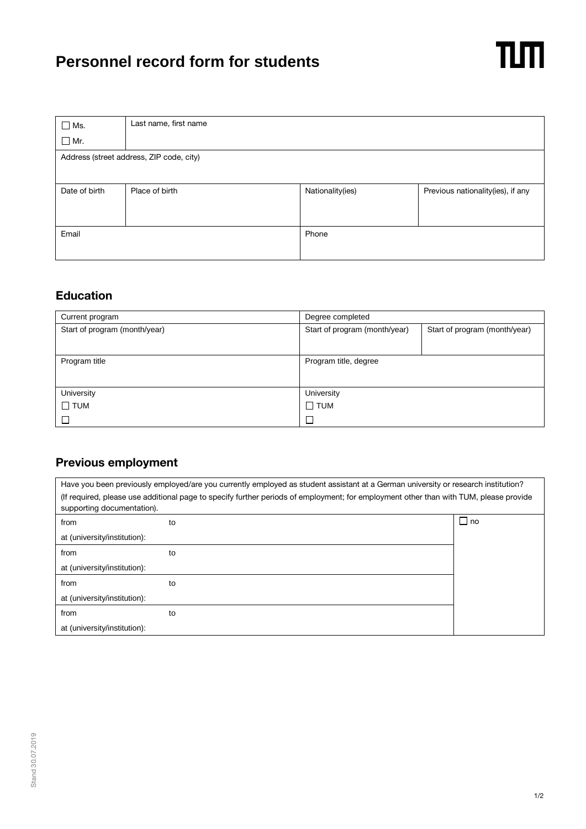## **Personnel record form for students**

| $\Box$ Ms.                               | Last name, first name |                  |                                   |  |  |  |
|------------------------------------------|-----------------------|------------------|-----------------------------------|--|--|--|
| $\Box$ Mr.                               |                       |                  |                                   |  |  |  |
| Address (street address, ZIP code, city) |                       |                  |                                   |  |  |  |
|                                          |                       |                  |                                   |  |  |  |
|                                          |                       |                  |                                   |  |  |  |
| Date of birth                            | Place of birth        | Nationality(ies) | Previous nationality(ies), if any |  |  |  |
|                                          |                       |                  |                                   |  |  |  |
|                                          |                       |                  |                                   |  |  |  |
| Email                                    |                       | Phone            |                                   |  |  |  |
|                                          |                       |                  |                                   |  |  |  |
|                                          |                       |                  |                                   |  |  |  |

## **Education**

| Current program               | Degree completed              |                               |
|-------------------------------|-------------------------------|-------------------------------|
| Start of program (month/year) | Start of program (month/year) | Start of program (month/year) |
|                               |                               |                               |
| Program title                 | Program title, degree         |                               |
|                               |                               |                               |
| University                    | University                    |                               |
| $\square$ TUM                 | $\Box$ TUM                    |                               |
|                               | $\Box$                        |                               |

## **Previous employment**

| Have you been previously employed/are you currently employed as student assistant at a German university or research institution?                                   |    |           |  |  |  |
|---------------------------------------------------------------------------------------------------------------------------------------------------------------------|----|-----------|--|--|--|
| (If required, please use additional page to specify further periods of employment; for employment other than with TUM, please provide<br>supporting documentation). |    |           |  |  |  |
| from                                                                                                                                                                | to | $\Box$ no |  |  |  |
| at (university/institution):                                                                                                                                        |    |           |  |  |  |
| from                                                                                                                                                                | to |           |  |  |  |
| at (university/institution):                                                                                                                                        |    |           |  |  |  |
| from                                                                                                                                                                | to |           |  |  |  |
| at (university/institution):                                                                                                                                        |    |           |  |  |  |
| from                                                                                                                                                                | to |           |  |  |  |
| at (university/institution):                                                                                                                                        |    |           |  |  |  |

 $n<sub>m</sub>$